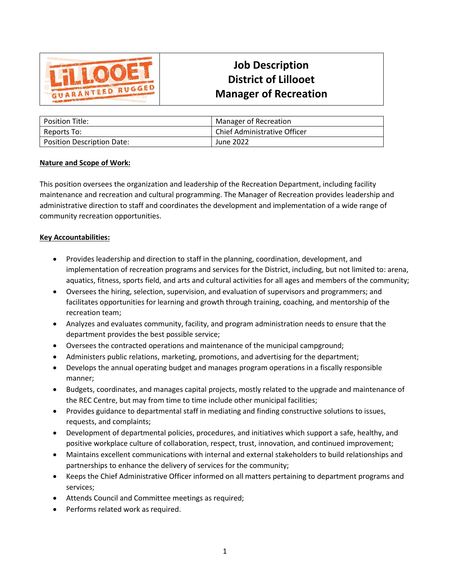

# **Job Description District of Lillooet Manager of Recreation**

| <b>Position Title:</b>            | Manager of Recreation        |
|-----------------------------------|------------------------------|
| Reports To:                       | Chief Administrative Officer |
| <b>Position Description Date:</b> | June 2022                    |

#### **Nature and Scope of Work:**

This position oversees the organization and leadership of the Recreation Department, including facility maintenance and recreation and cultural programming. The Manager of Recreation provides leadership and administrative direction to staff and coordinates the development and implementation of a wide range of community recreation opportunities.

### **Key Accountabilities:**

- Provides leadership and direction to staff in the planning, coordination, development, and implementation of recreation programs and services for the District, including, but not limited to: arena, aquatics, fitness, sports field, and arts and cultural activities for all ages and members of the community;
- Oversees the hiring, selection, supervision, and evaluation of supervisors and programmers; and facilitates opportunities for learning and growth through training, coaching, and mentorship of the recreation team;
- Analyzes and evaluates community, facility, and program administration needs to ensure that the department provides the best possible service;
- Oversees the contracted operations and maintenance of the municipal campground;
- Administers public relations, marketing, promotions, and advertising for the department;
- Develops the annual operating budget and manages program operations in a fiscally responsible manner;
- Budgets, coordinates, and manages capital projects, mostly related to the upgrade and maintenance of the REC Centre, but may from time to time include other municipal facilities;
- Provides guidance to departmental staff in mediating and finding constructive solutions to issues, requests, and complaints;
- Development of departmental policies, procedures, and initiatives which support a safe, healthy, and positive workplace culture of collaboration, respect, trust, innovation, and continued improvement;
- Maintains excellent communications with internal and external stakeholders to build relationships and partnerships to enhance the delivery of services for the community;
- Keeps the Chief Administrative Officer informed on all matters pertaining to department programs and services;
- Attends Council and Committee meetings as required;
- Performs related work as required.